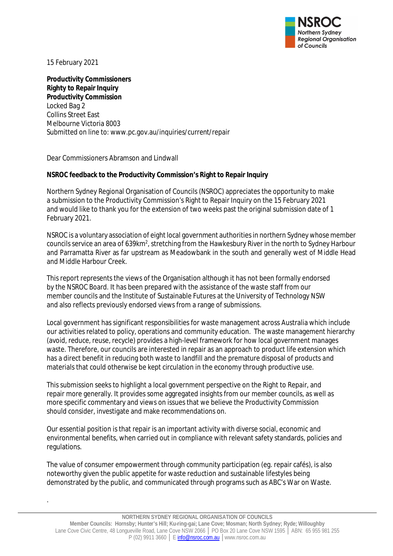

15 February 2021

.

**Productivity Commissioners Righty to Repair Inquiry Productivity Commission** Locked Bag 2 Collins Street East Melbourne Victoria 8003 Submitted on line to: www.pc.gov.au/inquiries/current/repair

Dear Commissioners Abramson and Lindwall

#### **NSROC feedback to the Productivity Commission's Right to Repair Inquiry**

Northern Sydney Regional Organisation of Councils (NSROC) appreciates the opportunity to make a submission to the Productivity Commission's Right to Repair Inquiry on the 15 February 2021 and would like to thank you for the extension of two weeks past the original submission date of 1 February 2021.

NSROC is a voluntary association of eight local government authorities in northern Sydney whose member councils service an area of 639km $^2$ , stretching from the Hawkesbury River in the north to Sydney Harbour and Parramatta River as far upstream as Meadowbank in the south and generally west of Middle Head and Middle Harbour Creek.

This report represents the views of the Organisation although it has not been formally endorsed by the NSROC Board. It has been prepared with the assistance of the waste staff from our member councils and the Institute of Sustainable Futures at the University of Technology NSW and also reflects previously endorsed views from a range of submissions.

Local government has significant responsibilities for waste management across Australia which include our activities related to policy, operations and community education. The waste management hierarchy (avoid, reduce, reuse, recycle) provides a high-level framework for how local government manages waste. Therefore, our councils are interested in repair as an approach to product life extension which has a direct benefit in reducing both waste to landfill and the premature disposal of products and materials that could otherwise be kept circulation in the economy through productive use.

This submission seeks to highlight a local government perspective on the Right to Repair, and repair more generally. It provides some aggregated insights from our member councils, as well as more specific commentary and views on issues that we believe the Productivity Commission should consider, investigate and make recommendations on.

Our essential position is that repair is an important activity with diverse social, economic and environmental benefits, when carried out in compliance with relevant safety standards, policies and regulations.

The value of consumer empowerment through community participation (eg. repair cafés), is also noteworthy given the public appetite for waste reduction and sustainable lifestyles being demonstrated by the public, and communicated through programs such as ABC's War on Waste.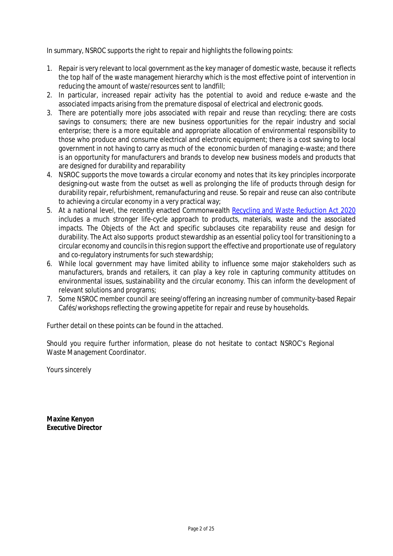In summary, NSROC supports the right to repair and highlights the following points:

- 1. Repair is very relevant to local government as the key manager of domestic waste, because it reflects the top half of the waste management hierarchy which is the most effective point of intervention in reducing the amount of waste/resources sent to landfill;
- 2. In particular, increased repair activity has the potential to avoid and reduce e-waste and the associated impacts arising from the premature disposal of electrical and electronic goods.
- 3. There are potentially more jobs associated with repair and reuse than recycling; there are costs savings to consumers; there are new business opportunities for the repair industry and social enterprise; there is a more equitable and appropriate allocation of environmental responsibility to those who produce and consume electrical and electronic equipment; there is a cost saving to local government in not having to carry as much of the economic burden of managing e-waste; and there is an opportunity for manufacturers and brands to develop new business models and products that are designed for durability and reparability
- 4. NSROC supports the move towards a circular economy and notes that its key principles incorporate designing-out waste from the outset as well as prolonging the life of products through design for durability repair, refurbishment, remanufacturing and reuse. So repair and reuse can also contribute to achieving a circular economy in a very practical way;
- 5. At a national level, the recently enacted Commonwealth Recycling and Waste Reduction Act 2020 includes a much stronger life-cycle approach to products, materials, waste and the associated impacts. The Objects of the Act and specific subclauses cite reparability reuse and design for durability. The Act also supports product stewardship as an essential policy tool for transitioning to a circular economy and councils in this region support the effective and proportionate use of regulatory and co-regulatory instruments for such stewardship;
- 6. While local government may have limited ability to influence some major stakeholders such as manufacturers, brands and retailers, it can play a key role in capturing community attitudes on environmental issues, sustainability and the circular economy. This can inform the development of relevant solutions and programs;
- 7. Some NSROC member council are seeing/offering an increasing number of community-based Repair Cafés/workshops reflecting the growing appetite for repair and reuse by households.

Further detail on these points can be found in the attached.

Should you require further information, please do not hesitate to contact NSROC's Regional Waste Management Coordinator.

Yours sincerely

**Maxine Kenyon Executive Director**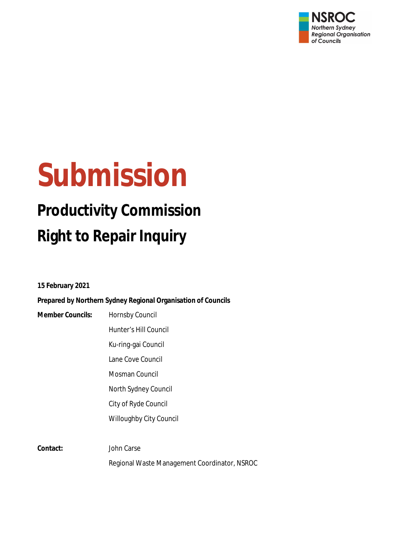

# **Submission**

# **Productivity Commission Right to Repair Inquiry**

**15 February 2021**

**Prepared by Northern Sydney Regional Organisation of Councils**

| <b>Member Councils:</b> | Hornsby Council                              |
|-------------------------|----------------------------------------------|
|                         | Hunter's Hill Council                        |
|                         | Ku-ring-gai Council                          |
|                         | Lane Cove Council                            |
|                         | Mosman Council                               |
|                         | North Sydney Council                         |
|                         | City of Ryde Council                         |
|                         | <b>Willoughby City Council</b>               |
|                         |                                              |
| Contact:                | John Carse                                   |
|                         | Regional Waste Management Coordinator, NSROC |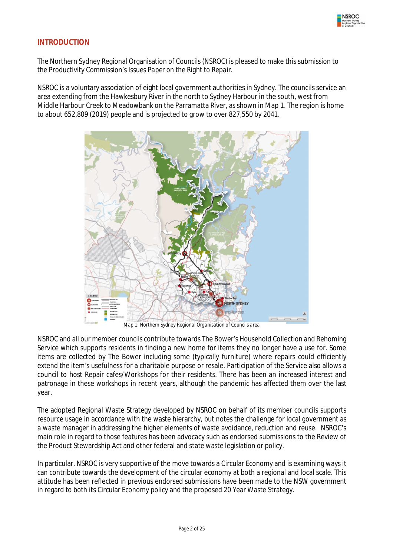

#### **INTRODUCTION**

The Northern Sydney Regional Organisation of Councils (NSROC) is pleased to make this submission to the Productivity Commission's *Issues Paper on the Right to Repair.* 

NSROC is a voluntary association of eight local government authorities in Sydney. The councils service an area extending from the Hawkesbury River in the north to Sydney Harbour in the south, west from Middle Harbour Creek to Meadowbank on the Parramatta River, as shown in Map 1. The region is home to about 652,809 (2019) people and is projected to grow to over 827,550 by 2041.



*Map 1: Northern Sydney Regional Organisation of Councils area*

NSROC and all our member councils contribute towards The Bower's Household Collection and Rehoming Service which supports residents in finding a new home for items they no longer have a use for. Some items are collected by The Bower including some (typically furniture) where repairs could efficiently extend the item's usefulness for a charitable purpose or resale. Participation of the Service also allows a council to host Repair cafes/Workshops for their residents. There has been an increased interest and patronage in these workshops in recent years, although the pandemic has affected them over the last year.

The adopted Regional Waste Strategy developed by NSROC on behalf of its member councils supports resource usage in accordance with the waste hierarchy, but notes the challenge for local government as a waste manager in addressing the higher elements of waste avoidance, reduction and reuse. NSROC's main role in regard to those features has been advocacy such as endorsed submissions to the Review of the Product Stewardship Act and other federal and state waste legislation or policy.

In particular, NSROC is very supportive of the move towards a Circular Economy and is examining ways it can contribute towards the development of the circular economy at both a regional and local scale. This attitude has been reflected in previous endorsed submissions have been made to the NSW government in regard to both its Circular Economy policy and the proposed 20 Year Waste Strategy.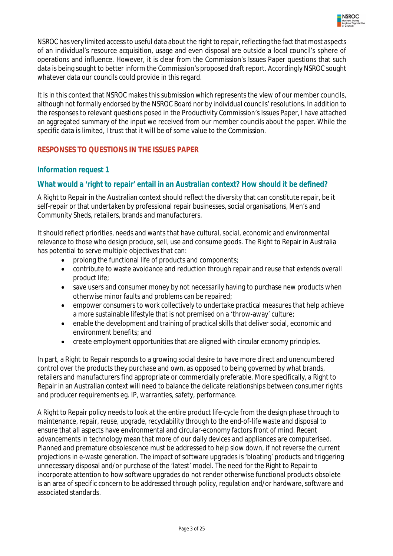

NSROC has very limited access to useful data about the right to repair, reflecting the fact that most aspects of an individual's resource acquisition, usage and even disposal are outside a local council's sphere of operations and influence. However, it is clear from the Commission's Issues Paper questions that such data is being sought to better inform the Commission's proposed draft report. Accordingly NSROC sought whatever data our councils could provide in this regard.

It is in this context that NSROC makes this submission which represents the view of our member councils, although not formally endorsed by the NSROC Board nor by individual councils' resolutions. In addition to the responses to relevant questions posed in the Productivity Commission's Issues Paper, I have attached an aggregated summary of the input we received from our member councils about the paper. While the specific data is limited, I trust that it will be of some value to the Commission.

#### **RESPONSES TO QUESTIONS IN THE ISSUES PAPER**

#### *Information request 1*

#### **What would a 'right to repair' entail in an Australian context? How should it be defined?**

A Right to Repair in the Australian context should reflect the diversity that can constitute repair, be it self-repair or that undertaken by professional repair businesses, social organisations, Men's and Community Sheds, retailers, brands and manufacturers.

It should reflect priorities, needs and wants that have cultural, social, economic and environmental relevance to those who design produce, sell, use and consume goods. The Right to Repair in Australia has potential to serve multiple objectives that can:

- prolong the functional life of products and components;
- contribute to waste avoidance and reduction through repair and reuse that extends overall product life;
- save users and consumer money by not necessarily having to purchase new products when otherwise minor faults and problems can be repaired;
- empower consumers to work collectively to undertake practical measures that help achieve a more sustainable lifestyle that is not premised on a 'throw-away' culture;
- enable the development and training of practical skills that deliver social, economic and environment benefits; and
- create employment opportunities that are aligned with circular economy principles.

In part, a Right to Repair responds to a growing social desire to have more direct and unencumbered control over the products they purchase and own, as opposed to being governed by what brands, retailers and manufacturers find appropriate or commercially preferable. More specifically, a Right to Repair in an Australian context will need to balance the delicate relationships between consumer rights and producer requirements eg. IP, warranties, safety, performance.

A Right to Repair policy needs to look at the entire product life-cycle from the design phase through to maintenance, repair, reuse, upgrade, recyclability through to the end-of-life waste and disposal to ensure that all aspects have environmental and circular-economy factors front of mind. Recent advancements in technology mean that more of our daily devices and appliances are computerised. Planned and premature obsolescence must be addressed to help slow down, if not reverse the current projections in e-waste generation. The impact of software upgrades is 'bloating' products and triggering unnecessary disposal and/or purchase of the 'latest' model. The need for the Right to Repair to incorporate attention to how software upgrades do not render otherwise functional products obsolete is an area of specific concern to be addressed through policy, regulation and/or hardware, software and associated standards.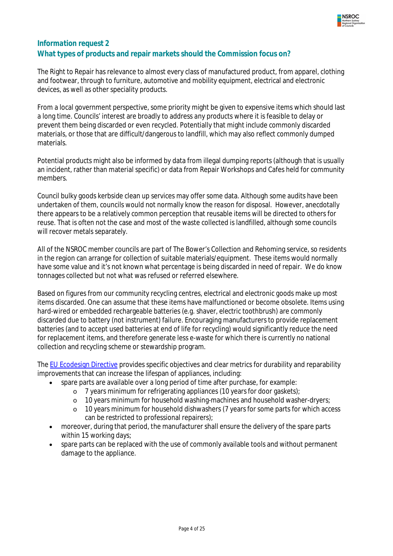

## *Information request* **2 What types of products and repair markets should the Commission focus on?**

The Right to Repair has relevance to almost every class of manufactured product, from apparel, clothing and footwear, through to furniture, automotive and mobility equipment, electrical and electronic devices, as well as other speciality products.

From a local government perspective, some priority might be given to expensive items which should last a long time. Councils' interest are broadly to address any products where it is feasible to delay or prevent them being discarded or even recycled. Potentially that might include commonly discarded materials, or those that are difficult/dangerous to landfill, which may also reflect commonly dumped materials.

Potential products might also be informed by data from illegal dumping reports (although that is usually an incident, rather than material specific) or data from Repair Workshops and Cafes held for community members.

Council bulky goods kerbside clean up services may offer some data. Although some audits have been undertaken of them, councils would not normally know the *reason* for disposal. However, anecdotally there appears to be a relatively common perception that reusable items will be directed to others for reuse. That is often not the case and most of the waste collected is landfilled, although some councils will recover metals separately.

All of the NSROC member councils are part of The Bower's Collection and Rehoming service, so residents in the region can arrange for collection of suitable materials/equipment. These items would normally have some value and it's not known what percentage is being discarded in need of repair. We do know tonnages collected but not what was refused or referred elsewhere.

Based on figures from our community recycling centres, electrical and electronic goods make up most items discarded. One can assume that these items have malfunctioned or become obsolete. Items using hard-wired or embedded rechargeable batteries (e.g. shaver, electric toothbrush) are commonly discarded due to battery (not instrument) failure. Encouraging manufacturers to provide replacement batteries (and to accept used batteries at end of life for recycling) would significantly reduce the need for replacement items, and therefore generate less e-waste for which there is currently no national collection and recycling scheme or stewardship program.

The EU Ecodesign Directive provides specific objectives and clear metrics for durability and reparability improvements that can increase the lifespan of appliances, including:

- spare parts are available over a long period of time after purchase, for example:
	- o 7 years minimum for refrigerating appliances (10 years for door gaskets);
	- o 10 years minimum for household washing-machines and household washer-dryers;
	- o 10 years minimum for household dishwashers (7 years for some parts for which access can be restricted to professional repairers);
- moreover, during that period, the manufacturer shall ensure the delivery of the spare parts within 15 working days;
- spare parts can be replaced with the use of commonly available tools and without permanent damage to the appliance.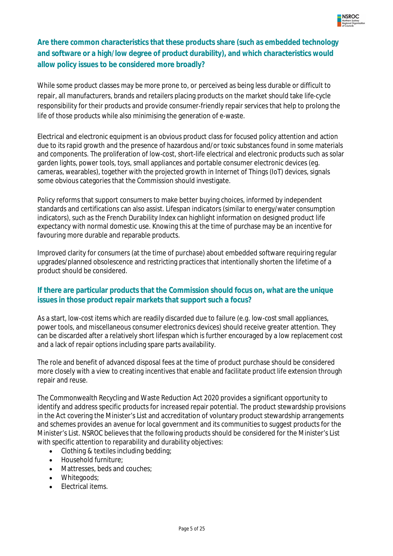

# **Are there common characteristics that these products share (such as embedded technology and software or a high/low degree of product durability), and which characteristics would allow policy issues to be considered more broadly?**

While some product classes may be more prone to, or perceived as being less durable or difficult to repair, all manufacturers, brands and retailers placing products on the market should take life-cycle responsibility for their products and provide consumer-friendly repair services that help to prolong the life of those products while also minimising the generation of e-waste.

Electrical and electronic equipment is an obvious product class for focused policy attention and action due to its rapid growth and the presence of hazardous and/or toxic substances found in some materials and components. The proliferation of low-cost, short-life electrical and electronic products such as solar garden lights, power tools, toys, small appliances and portable consumer electronic devices (eg. cameras, wearables), together with the projected growth in Internet of Things (IoT) devices, signals some obvious categories that the Commission should investigate.

Policy reforms that support consumers to make better buying choices, informed by independent standards and certifications can also assist. Lifespan indicators (similar to energy/water consumption indicators), such as the French Durability Index can highlight information on designed product life expectancy with normal domestic use. Knowing this at the time of purchase may be an incentive for favouring more durable and reparable products.

Improved clarity for consumers (at the time of purchase) about embedded software requiring regular upgrades/planned obsolescence and restricting practices that intentionally shorten the lifetime of a product should be considered.

#### **If there are particular products that the Commission should focus on, what are the unique issues in those product repair markets that support such a focus?**

As a start, low-cost items which are readily discarded due to failure (e.g. low-cost small appliances, power tools, and miscellaneous consumer electronics devices) should receive greater attention. They can be discarded after a relatively short lifespan which is further encouraged by a low replacement cost and a lack of repair options including spare parts availability.

The role and benefit of advanced disposal fees at the time of product purchase should be considered more closely with a view to creating incentives that enable and facilitate product life extension through repair and reuse.

The Commonwealth Recycling and Waste Reduction Act 2020 provides a significant opportunity to identify and address specific products for increased repair potential. The product stewardship provisions in the Act covering the Minister's List and accreditation of voluntary product stewardship arrangements and schemes provides an avenue for local government and its communities to suggest products for the Minister's List. NSROC believes that the following products should be considered for the Minister's List with specific attention to reparability and durability objectives:

- Clothing & textiles including bedding;
- Household furniture;
- Mattresses, beds and couches:
- Whitegoods;
- Electrical items.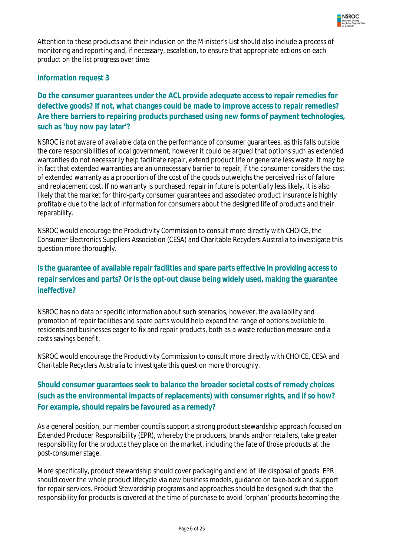

Attention to these products and their inclusion on the Minister's List should also include a process of monitoring and reporting and, if necessary, escalation, to ensure that appropriate actions on each product on the list progress over time.

#### *Information request 3*

#### **Do the consumer guarantees under the ACL provide adequate access to repair remedies for defective goods? If not, what changes could be made to improve access to repair remedies? Are there barriers to repairing products purchased using new forms of payment technologies, such as 'buy now pay later'?**

NSROC is not aware of available data on the performance of consumer guarantees, as this falls outside the core responsibilities of local government, however it could be argued that options such as extended warranties do not necessarily help facilitate repair, extend product life or generate less waste. It may be in fact that extended warranties are an unnecessary barrier to repair, if the consumer considers the cost of extended warranty as a proportion of the cost of the goods outweighs the perceived risk of failure and replacement cost. If no warranty is purchased, repair in future is potentially less likely. It is also likely that the market for third-party consumer guarantees and associated product insurance is highly profitable due to the lack of information for consumers about the designed life of products and their reparability.

NSROC would encourage the Productivity Commission to consult more directly with CHOICE, the Consumer Electronics Suppliers Association (CESA) and Charitable Recyclers Australia to investigate this question more thoroughly.

# **Is the guarantee of available repair facilities and spare parts effective in providing access to repair services and parts? Or is the opt-out clause being widely used, making the guarantee ineffective?**

NSROC has no data or specific information about such scenarios, however, the availability and promotion of repair facilities and spare parts would help expand the range of options available to residents and businesses eager to fix and repair products, both as a waste reduction measure and a costs savings benefit.

NSROC would encourage the Productivity Commission to consult more directly with CHOICE, CESA and Charitable Recyclers Australia to investigate this question more thoroughly.

# **Should consumer guarantees seek to balance the broader societal costs of remedy choices (such as the environmental impacts of replacements) with consumer rights, and if so how? For example, should repairs be favoured as a remedy?**

As a general position, our member councils support a strong product stewardship approach focused on Extended Producer Responsibility (EPR), whereby the producers, brands and/or retailers, take greater responsibility for the products they place on the market, including the fate of those products at the post-consumer stage.

More specifically, product stewardship should cover packaging and end of life disposal of goods. EPR should cover the whole product lifecycle via new business models, guidance on take-back and support for repair services. Product Stewardship programs and approaches should be designed such that the responsibility for products is covered at the time of purchase to avoid 'orphan' products becoming the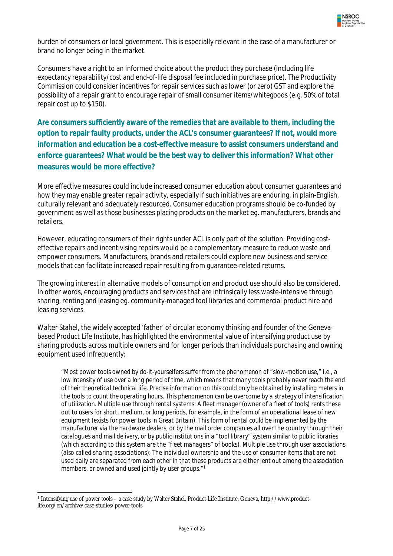

burden of consumers or local government. This is especially relevant in the case of a manufacturer or brand no longer being in the market.

Consumers have a right to an informed choice about the product they purchase (including life expectancy reparability/cost and end-of-life disposal fee included in purchase price). The Productivity Commission could consider incentives for repair services such as lower (or zero) GST and explore the possibility of a repair grant to encourage repair of small consumer items/whitegoods (e.g. 50% of total repair cost up to \$150).

**Are consumers sufficiently aware of the remedies that are available to them, including the option to repair faulty products, under the ACL's consumer guarantees? If not, would more information and education be a cost-effective measure to assist consumers understand and enforce guarantees? What would be the best way to deliver this information? What other measures would be more effective?**

More effective measures could include increased consumer education about consumer guarantees and how they may enable greater repair activity, especially if such initiatives are enduring, in plain-English, culturally relevant and adequately resourced. Consumer education programs should be co-funded by government as well as those businesses placing products on the market eg. manufacturers, brands and retailers.

However, educating consumers of their rights under ACL is only part of the solution. Providing costeffective repairs and incentivising repairs would be a complementary measure to reduce waste and empower consumers. Manufacturers, brands and retailers could explore new business and service models that can facilitate increased repair resulting from guarantee-related returns.

The growing interest in alternative models of consumption and product use should also be considered. In other words, encouraging products and services that are intrinsically less waste-intensive through sharing, renting and leasing eg. community-managed tool libraries and commercial product hire and leasing services.

Walter Stahel, the widely accepted 'father' of circular economy thinking and founder of the Genevabased Product Life Institute, has highlighted the environmental value of intensifying product use by sharing products across multiple owners and for longer periods than individuals purchasing and owning equipment used infrequently:

*"Most power tools owned by do-it-yourselfers suffer from the phenomenon of "slow-motion use," i.e., a low intensity of use over a long period of time, which means that many tools probably never reach the end of their theoretical technical life. Precise information on this could only be obtained by installing meters in the tools to count the operating hours. This phenomenon can be overcome by a strategy of intensification of utilization. Multiple use through rental systems: A fleet manager (owner of a fleet of tools) rents these out to users for short, medium, or long periods, for example, in the form of an operational lease of new equipment (exists for power tools in Great Britain). This form of rental could be implemented by the manufacturer via the hardware dealers, or by the mail order companies all over the country through their catalogues and mail delivery, or by public institutions in a "tool library" system similar to public libraries (which according to this system are the "fleet managers" of books). Multiple use through user associations (also called sharing associations): The individual ownership and the use of consumer items that are not used daily are separated from each other in that these products are either lent out among the association members, or owned and used jointly by user groups."<sup>1</sup>*

 $\overline{a}$ <sup>1</sup> Intensifying use of power tools – a case study by Walter Stahel, Product Life Institute, Geneva, http://www.productlife.org/en/archive/case-studies/power-tools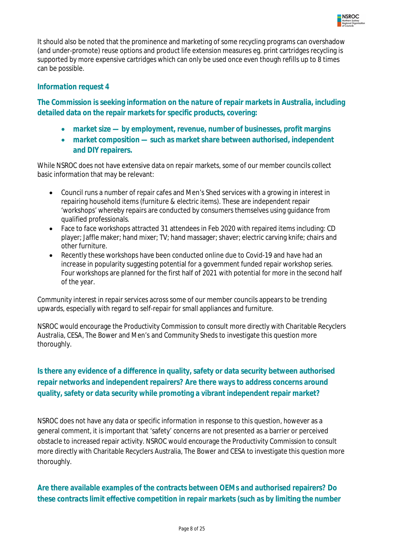

It should also be noted that the prominence and marketing of some recycling programs can overshadow (and under-promote) reuse options and product life extension measures eg. print cartridges recycling is supported by more expensive cartridges which can only be used once even though refills up to 8 times can be possible.

#### *Information request 4*

**The Commission is seeking information on the nature of repair markets in Australia, including detailed data on the repair markets for specific products, covering:**

- **market size — by employment, revenue, number of businesses, profit margins**
- **market composition — such as market share between authorised, independent and DIY repairers.**

While NSROC does not have extensive data on repair markets, some of our member councils collect basic information that may be relevant:

- Council runs a number of repair cafes and Men's Shed services with a growing in interest in repairing household items (furniture & electric items). These are independent repair 'workshops' whereby repairs are conducted by consumers themselves using guidance from qualified professionals.
- Face to face workshops attracted 31 attendees in Feb 2020 with repaired items including: CD player; Jaffle maker; hand mixer; TV; hand massager; shaver; electric carving knife; chairs and other furniture.
- Recently these workshops have been conducted online due to Covid-19 and have had an increase in popularity suggesting potential for a government funded repair workshop series. Four workshops are planned for the first half of 2021 with potential for more in the second half of the year.

Community interest in repair services across some of our member councils appears to be trending upwards, especially with regard to self-repair for small appliances and furniture.

NSROC would encourage the Productivity Commission to consult more directly with Charitable Recyclers Australia, CESA, The Bower and Men's and Community Sheds to investigate this question more thoroughly.

# **Is there any evidence of a difference in quality, safety or data security between authorised repair networks and independent repairers? Are there ways to address concerns around quality, safety or data security while promoting a vibrant independent repair market?**

NSROC does not have any data or specific information in response to this question, however as a general comment, it is important that 'safety' concerns are not presented as a barrier or perceived obstacle to increased repair activity. NSROC would encourage the Productivity Commission to consult more directly with Charitable Recyclers Australia, The Bower and CESA to investigate this question more thoroughly.

# **Are there available examples of the contracts between OEMs and authorised repairers? Do these contracts limit effective competition in repair markets (such as by limiting the number**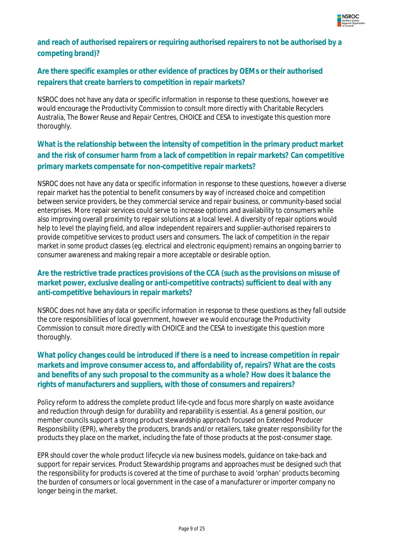

### **and reach of authorised repairers or requiring authorised repairers to not be authorised by a competing brand)?**

# **Are there specific examples or other evidence of practices by OEMs or their authorised repairers that create barriers to competition in repair markets?**

NSROC does not have any data or specific information in response to these questions, however we would encourage the Productivity Commission to consult more directly with Charitable Recyclers Australia, The Bower Reuse and Repair Centres, CHOICE and CESA to investigate this question more thoroughly.

# **What is the relationship between the intensity of competition in the primary product market and the risk of consumer harm from a lack of competition in repair markets? Can competitive primary markets compensate for non-competitive repair markets?**

NSROC does not have any data or specific information in response to these questions, however a diverse repair market has the potential to benefit consumers by way of increased choice and competition between service providers, be they commercial service and repair business, or community-based social enterprises. More repair services could serve to increase options and availability to consumers while also improving overall proximity to repair solutions at a local level. A diversity of repair options would help to level the playing field, and allow independent repairers and supplier-authorised repairers to provide competitive services to product users and consumers. The lack of competition in the repair market in some product classes (eg. electrical and electronic equipment) remains an ongoing barrier to consumer awareness and making repair a more acceptable or desirable option.

#### **Are the restrictive trade practices provisions of the CCA (such as the provisions on misuse of market power, exclusive dealing or anti-competitive contracts) sufficient to deal with any anti-competitive behaviours in repair markets?**

NSROC does not have any data or specific information in response to these questions as they fall outside the core responsibilities of local government, however we would encourage the Productivity Commission to consult more directly with CHOICE and the CESA to investigate this question more thoroughly.

#### **What policy changes could be introduced if there is a need to increase competition in repair markets and improve consumer access to, and affordability of, repairs? What are the costs and benefits of any such proposal to the community as a whole? How does it balance the rights of manufacturers and suppliers, with those of consumers and repairers?**

Policy reform to address the complete product life-cycle and focus more sharply on waste avoidance and reduction through design for durability and reparability is essential. As a general position, our member councils support a strong product stewardship approach focused on Extended Producer Responsibility (EPR), whereby the producers, brands and/or retailers, take greater responsibility for the products they place on the market, including the fate of those products at the post-consumer stage.

EPR should cover the whole product lifecycle via new business models, guidance on take-back and support for repair services. Product Stewardship programs and approaches must be designed such that the responsibility for products is covered at the time of purchase to avoid 'orphan' products becoming the burden of consumers or local government in the case of a manufacturer or importer company no longer being in the market.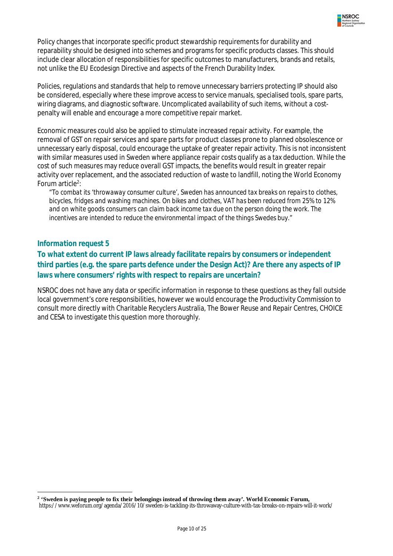

Policy changes that incorporate specific product stewardship requirements for durability and reparability should be designed into schemes and programs for specific products classes. This should include clear allocation of responsibilities for specific outcomes to manufacturers, brands and retails, not unlike the EU Ecodesign Directive and aspects of the French Durability Index.

Policies, regulations and standards that help to remove unnecessary barriers protecting IP should also be considered, especially where these improve access to service manuals, specialised tools, spare parts, wiring diagrams, and diagnostic software. Uncomplicated availability of such items, without a costpenalty will enable and encourage a more competitive repair market.

Economic measures could also be applied to stimulate increased repair activity. For example, the removal of GST on repair services and spare parts for product classes prone to planned obsolescence or unnecessary early disposal, could encourage the uptake of greater repair activity. This is not inconsistent with similar measures used in Sweden where appliance repair costs qualify as a tax deduction. While the cost of such measures may reduce overall GST impacts, the benefits would result in greater repair activity over replacement, and the associated reduction of waste to landfill, noting the World Economy Forum article<sup>2</sup>:

*"To combat its 'throwaway consumer culture', Sweden has announced tax breaks on repairs to clothes, bicycles, fridges and washing machines. On bikes and clothes, VAT has been reduced from 25% to 12% and on white goods consumers can claim back income tax due on the person doing the work. The incentives are intended to reduce the environmental impact of the things Swedes buy."*

#### *Information request 5*

#### **To what extent do current IP laws already facilitate repairs by consumers or independent third parties (e.g. the spare parts defence under the Design Act)? Are there any aspects of IP laws where consumers' rights with respect to repairs are uncertain?**

NSROC does not have any data or specific information in response to these questions as they fall outside local government's core responsibilities, however we would encourage the Productivity Commission to consult more directly with Charitable Recyclers Australia, The Bower Reuse and Repair Centres, CHOICE and CESA to investigate this question more thoroughly.

 $\overline{\phantom{a}}$ **2 'Sweden is paying people to fix their belongings instead of throwing them away'. World Economic Forum,**  https://www.weforum.org/agenda/2016/10/sweden-is-tackling-its-throwaway-culture-with-tax-breaks-on-repairs-will-it-work/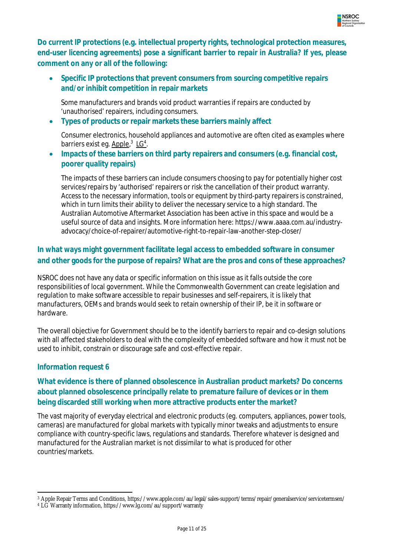

**Do current IP protections (e.g. intellectual property rights, technological protection measures, end-user licencing agreements) pose a significant barrier to repair in Australia? If yes, please comment on any or all of the following:**

 **Specific IP protections that prevent consumers from sourcing competitive repairs and/or inhibit competition in repair markets**

Some manufacturers and brands void product warranties if repairs are conducted by 'unauthorised' repairers, including consumers.

**Types of products or repair markets these barriers mainly affect**

Consumer electronics, household appliances and automotive are often cited as examples where barriers exist eg. <u>Apple</u>,<sup>3</sup> LG<sup>4</sup>.

 **Impacts of these barriers on third party repairers and consumers (e.g. financial cost, poorer quality repairs)**

The impacts of these barriers can include consumers choosing to pay for potentially higher cost services/repairs by 'authorised' repairers or risk the cancellation of their product warranty. Access to the necessary information, tools or equipment by third-party repairers is constrained, which in turn limits their ability to deliver the necessary service to a high standard. The Australian Automotive Aftermarket Association has been active in this space and would be a useful source of data and insights. More information here: https://www.aaaa.com.au/industryadvocacy/choice-of-repairer/automotive-right-to-repair-law-another-step-closer/

# **In what ways might government facilitate legal access to embedded software in consumer and other goods for the purpose of repairs? What are the pros and cons of these approaches?**

NSROC does not have any data or specific information on this issue as it falls outside the core responsibilities of local government. While the Commonwealth Government can create legislation and regulation to make software accessible to repair businesses and self-repairers, it is likely that manufacturers, OEMs and brands would seek to retain ownership of their IP, be it in software or hardware.

The overall objective for Government should be to the identify barriers to repair and co-design solutions with all affected stakeholders to deal with the complexity of embedded software and how it must not be used to inhibit, constrain or discourage safe and cost-effective repair.

#### *Information request 6*

 $\overline{a}$ 

#### **What evidence is there of planned obsolescence in Australian product markets? Do concerns about planned obsolescence principally relate to premature failure of devices or in them being discarded still working when more attractive products enter the market?**

The vast majority of everyday electrical and electronic products (eg. computers, appliances, power tools, cameras) are manufactured for global markets with typically minor tweaks and adjustments to ensure compliance with country-specific laws, regulations and standards. Therefore whatever is designed and manufactured for the Australian market is not dissimilar to what is produced for other countries/markets.

<sup>3</sup> Apple Repair Terms and Conditions, https://www.apple.com/au/legal/sales-support/terms/repair/generalservice/servicetermsen/

<sup>4</sup> LG Warranty information, https://www.lg.com/au/support/warranty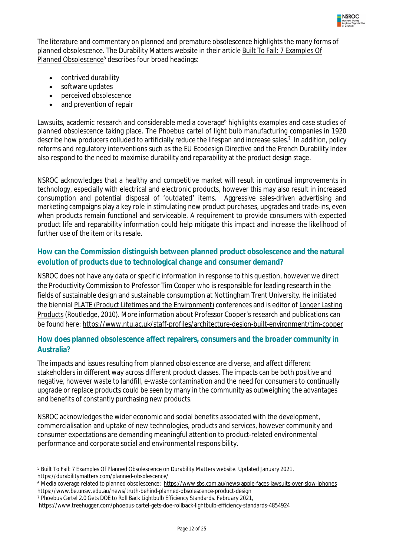

The literature and commentary on planned and premature obsolescence highlights the many forms of planned obsolescence. The Durability Matters website in their article Built To Fail: 7 Examples Of Planned Obsolescence<sup>5</sup> describes four broad headings:

- contrived durability
- software updates
- perceived obsolescence
- and prevention of repair

Lawsuits, academic research and considerable media coverage<sup>6</sup> highlights examples and case studies of planned obsolescence taking place. The Phoebus cartel of light bulb manufacturing companies in 1920 describe how producers colluded to artificially reduce the lifespan and increase sales.<sup>7</sup> In addition, policy reforms and regulatory interventions such as the EU Ecodesign Directive and the French Durability Index also respond to the need to maximise durability and reparability at the product design stage.

NSROC acknowledges that a healthy and competitive market will result in continual improvements in technology, especially with electrical and electronic products, however this may also result in increased consumption and potential disposal of 'outdated' items. Aggressive sales-driven advertising and marketing campaigns play a key role in stimulating new product purchases, upgrades and trade-ins, even when products remain functional and serviceable. A requirement to provide consumers with expected product life and reparability information could help mitigate this impact and increase the likelihood of further use of the item or its resale.

#### **How can the Commission distinguish between planned product obsolescence and the natural evolution of products due to technological change and consumer demand?**

NSROC does not have any data or specific information in response to this question, however we direct the Productivity Commission to Professor Tim Cooper who is responsible for leading research in the fields of sustainable design and sustainable consumption at Nottingham Trent University. He initiated the biennial PLATE (Product Lifetimes and the Environment) conferences and is editor of Longer Lasting Products (Routledge, 2010). More information about Professor Cooper's research and publications can be found here: https://www.ntu.ac.uk/staff-profiles/architecture-design-built-environment/tim-cooper

#### **How does planned obsolescence affect repairers, consumers and the broader community in Australia?**

The impacts and issues resulting from planned obsolescence are diverse, and affect different stakeholders in different way across different product classes. The impacts can be both positive and negative, however waste to landfill, e-waste contamination and the need for consumers to continually upgrade or replace products could be seen by many in the community as outweighing the advantages and benefits of constantly purchasing new products.

NSROC acknowledges the wider economic and social benefits associated with the development, commercialisation and uptake of new technologies, products and services, however community and consumer expectations are demanding meaningful attention to product-related environmental performance and corporate social and environmental responsibility.

 $\overline{\phantom{a}}$ <sup>5</sup> Built To Fail: 7 Examples Of Planned Obsolescence on Durability Matters website. Updated January 2021, https://durabilitymatters.com/planned-obsolescence/

<sup>6</sup> Media coverage related to planned obsolescence: https://www.sbs.com.au/news/apple-faces-lawsuits-over-slow-iphones https://www.be.unsw.edu.au/news/truth-behind-planned-obsolescence-product-design

<sup>7</sup> Phoebus Cartel 2.0 Gets DOE to Roll Back Lightbulb Efficiency Standards. February 2021,

https://www.treehugger.com/phoebus-cartel-gets-doe-rollback-lightbulb-efficiency-standards-4854924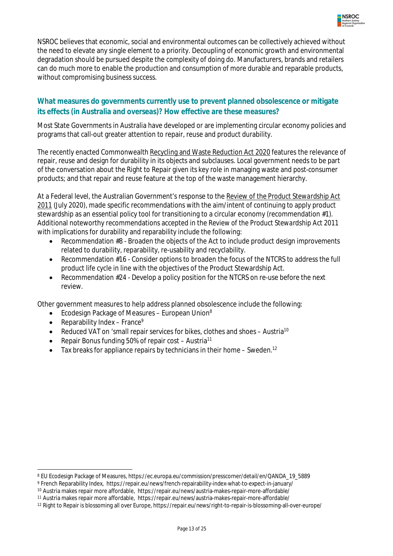

NSROC believes that economic, social and environmental outcomes can be collectively achieved without the need to elevate any single element to a priority. Decoupling of economic growth and environmental degradation should be pursued despite the complexity of doing do. Manufacturers, brands and retailers can do much more to enable the production and consumption of more durable and reparable products, without compromising business success.

#### **What measures do governments currently use to prevent planned obsolescence or mitigate its effects (in Australia and overseas)? How effective are these measures?**

Most State Governments in Australia have developed or are implementing circular economy policies and programs that call-out greater attention to repair, reuse and product durability.

The recently enacted Commonwealth Recycling and Waste Reduction Act 2020 features the relevance of repair, reuse and design for durability in its objects and subclauses. Local government needs to be part of the conversation about the Right to Repair given its key role in managing waste and post-consumer products; and that repair and reuse feature at the top of the waste management hierarchy.

At a Federal level, the Australian Government's response to the *Review of the Product Stewardship Act 2011* (July 2020), made specific recommendations with the aim/intent of continuing to apply product stewardship as an essential policy tool for transitioning to a circular economy (recommendation #1). Additional noteworthy recommendations accepted in the *Review of the Product Stewardship Act 2011*  with implications for durability and reparability include the following:

- Recommendation #8 Broaden the objects of the Act to include product design improvements related to durability, reparability, re-usability and recyclability.
- Recommendation #16 Consider options to broaden the focus of the NTCRS to address the full product life cycle in line with the objectives of the Product Stewardship Act.
- Recommendation #24 Develop a policy position for the NTCRS on re-use before the next review.

Other government measures to help address planned obsolescence include the following:

- $\bullet$  Ecodesign Package of Measures European Union<sup>8</sup>
- Reparability Index France<sup>9</sup>

 $\overline{a}$ 

- Reduced VAT on 'small repair services for bikes, clothes and shoes Austria<sup>10</sup>
- **•** Repair Bonus funding 50% of repair cost Austria<sup>11</sup>
- $\bullet$  Tax breaks for appliance repairs by technicians in their home Sweden.<sup>12</sup>

<sup>8</sup> EU Ecodesign Package of Measures, https://ec.europa.eu/commission/presscorner/detail/en/QANDA\_19\_5889

<sup>9</sup> French Reparability Index, https://repair.eu/news/french-repairability-index-what-to-expect-in-january/

<sup>10</sup> Austria makes repair more affordable, https://repair.eu/news/austria-makes-repair-more-affordable/

<sup>11</sup> Austria makes repair more affordable, https://repair.eu/news/austria-makes-repair-more-affordable/

<sup>12</sup> Right to Repair is blossoming all over Europe, https://repair.eu/news/right-to-repair-is-blossoming-all-over-europe/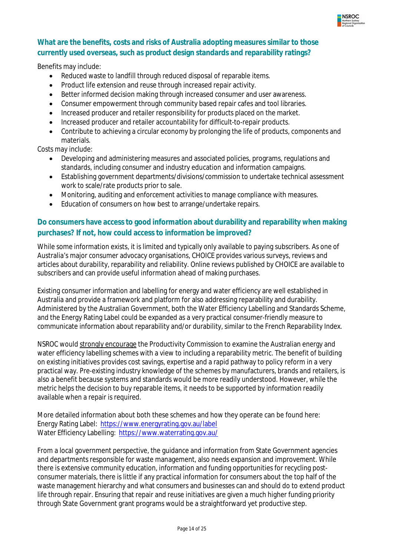

#### **What are the benefits, costs and risks of Australia adopting measures similar to those currently used overseas, such as product design standards and reparability ratings?**

Benefits may include:

- Reduced waste to landfill through reduced disposal of reparable items.
- Product life extension and reuse through increased repair activity.
- Better informed decision making through increased consumer and user awareness.
- Consumer empowerment through community based repair cafes and tool libraries.
- Increased producer and retailer responsibility for products placed on the market.
- Increased producer and retailer accountability for difficult-to-repair products.
- Contribute to achieving a circular economy by prolonging the life of products, components and materials.

Costs may include:

- Developing and administering measures and associated policies, programs, regulations and standards, including consumer and industry education and information campaigns.
- Establishing government departments/divisions/commission to undertake technical assessment work to scale/rate products prior to sale.
- Monitoring, auditing and enforcement activities to manage compliance with measures.
- Education of consumers on how best to arrange/undertake repairs.

#### **Do consumers have access to good information about durability and reparability when making purchases? If not, how could access to information be improved?**

While some information exists, it is limited and typically only available to paying subscribers. As one of Australia's major consumer advocacy organisations, CHOICE provides various surveys, reviews and articles about durability, reparability and reliability. Online reviews published by CHOICE are available to subscribers and can provide useful information ahead of making purchases.

Existing consumer information and labelling for energy and water efficiency are well established in Australia and provide a framework and platform for also addressing reparability and durability. Administered by the Australian Government, both the Water Efficiency Labelling and Standards Scheme, and the Energy Rating Label could be expanded as a very practical consumer-friendly measure to communicate information about reparability and/or durability, similar to the French Reparability Index.

NSROC would strongly encourage the Productivity Commission to examine the Australian energy and water efficiency labelling schemes with a view to including a reparability metric. The benefit of building on existing initiatives provides cost savings, expertise and a rapid pathway to policy reform in a very practical way. Pre-existing industry knowledge of the schemes by manufacturers, brands and retailers, is also a benefit because systems and standards would be more readily understood. However, while the metric helps the decision to buy reparable items, it needs to be supported by information readily available when a repair is required.

More detailed information about both these schemes and how they operate can be found here: Energy Rating Label: https://www.energyrating.gov.au/label Water Efficiency Labelling: https://www.waterrating.gov.au/

From a local government perspective, the guidance and information from State Government agencies and departments responsible for waste management, also needs expansion and improvement. While there is extensive community education, information and funding opportunities for recycling postconsumer materials, there is little if any practical information for consumers about the top half of the waste management hierarchy and what consumers and businesses can and should do to extend product life through repair. Ensuring that repair and reuse initiatives are given a much higher funding priority through State Government grant programs would be a straightforward yet productive step.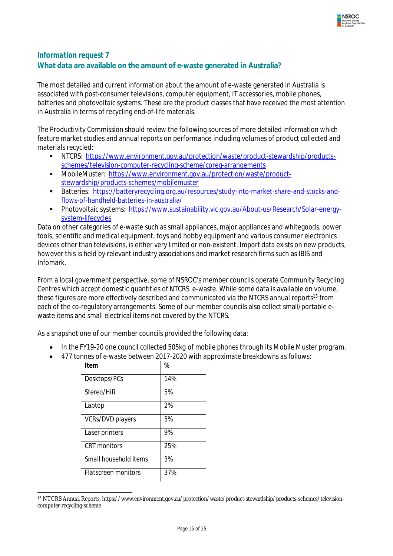

# *Information request 7* **What data are available on the amount of e-waste generated in Australia?**

The most detailed and current information about the amount of e-waste generated in Australia is associated with post-consumer televisions, computer equipment, IT accessories, mobile phones, batteries and photovoltaic systems. These are the product classes that have received the most attention in Australia in terms of recycling end-of-life materials.

The Productivity Commission should review the following sources of more detailed information which feature market studies and annual reports on performance including volumes of product collected and materials recycled:

- NTCRS: https://www.environment.gov.au/protection/waste/product-stewardship/productsschemes/television-computer-recycling-scheme/coreg-arrangements
- MobileMuster: https://www.environment.gov.au/protection/waste/productstewardship/products-schemes/mobilemuster
- Batteries: https://batteryrecycling.org.au/resources/study-into-market-share-and-stocks-andflows-of-handheld-batteries-in-australia/
- Photovoltaic systems: https://www.sustainability.vic.gov.au/About-us/Research/Solar-energysystem-lifecycles

Data on other categories of e-waste such as small appliances, major appliances and whitegoods, power tools, scientific and medical equipment, toys and hobby equipment and various consumer electronics devices other than televisions, is either very limited or non-existent. Import data exists on new products, however this is held by relevant industry associations and market research firms such as IBIS and Infomark.

From a local government perspective, some of NSROC's member councils operate Community Recycling Centres which accept domestic quantities of NTCRS e-waste. While some data is available on volume, these figures are more effectively described and communicated via the NTCRS annual reports<sup>13</sup> from each of the co-regulatory arrangements. Some of our member councils also collect small/portable ewaste items and small electrical items not covered by the NTCRS.

As a snapshot one of our member councils provided the following data:

- *In the FY19-20 one council collected 505kg of mobile phones through its Mobile Muster program.*
- *477 tonnes of e-waste between 2017-2020 with approximate breakdowns as follows:*

| Item                       | %   |
|----------------------------|-----|
| Desktops/PCs               | 14% |
| Stereo/Hifi                | .5% |
| Laptop                     | 2%  |
| VCRs/DVD players           | .5% |
| Laser printers             | 9%  |
| CRT monitors               | 25% |
| Small household items      | .3% |
| <b>Flatscreen monitors</b> | 37% |

 $\overline{a}$ <sup>13</sup> NTCRS Annual Reports, https://www.environment.gov.au/protection/waste/product-stewardship/products-schemes/televisioncomputer-recycling-scheme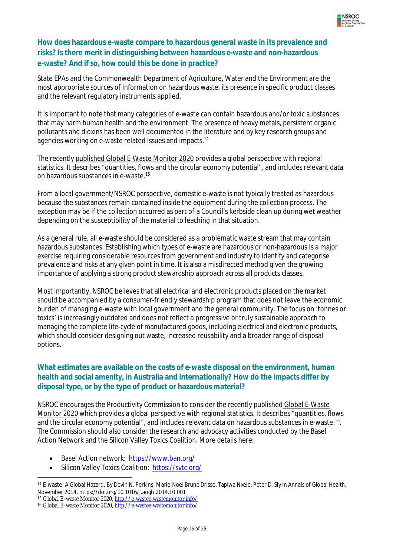

#### **How does hazardous e-waste compare to hazardous general waste in its prevalence and risks? Is there merit in distinguishing between hazardous e-waste and non-hazardous e-waste? And if so, how could this be done in practice?**

State EPAs and the Commonwealth Department of Agriculture, Water and the Environment are the most appropriate sources of information on hazardous waste, its presence in specific product classes and the relevant regulatory instruments applied.

It is important to note that many categories of e-waste can contain hazardous and/or toxic substances that may harm human health and the environment. The presence of heavy metals, persistent organic pollutants and dioxins has been well documented in the literature and by key research groups and agencies working on e-waste related issues and impacts.<sup>14</sup>

The recently published Global E-Waste Monitor 2020 provides a global perspective with regional statistics. It describes "quantities, flows and the circular economy potential", and includes relevant data on hazardous substances in e-waste. 15

From a local government/NSROC perspective, domestic e-waste is not typically treated as hazardous because the substances remain contained inside the equipment during the collection process. The exception may be if the collection occurred as part of a Council's kerbside clean up during wet weather depending on the susceptibility of the material to leaching in that situation.

As a general rule, all e-waste should be considered as a problematic waste stream that may contain hazardous substances. Establishing which types of e-waste are hazardous or non-hazardous is a major exercise requiring considerable resources from government and industry to identify and categorise prevalence and risks at any given point in time. It is also a misdirected method given the growing importance of applying a strong product stewardship approach across all products classes.

Most importantly, NSROC believes that all electrical and electronic products placed on the market should be accompanied by a consumer-friendly stewardship program that does not leave the economic burden of managing e-waste with local government and the general community. The focus on 'tonnes or toxics' is increasingly outdated and does not reflect a progressive or truly sustainable approach to managing the complete life-cycle of manufactured goods, including electrical and electronic products, which should consider designing out waste, increased reusability and a broader range of disposal options.

#### **What estimates are available on the costs of e-waste disposal on the environment, human health and social amenity, in Australia and internationally? How do the impacts differ by disposal type, or by the type of product or hazardous material?**

NSROC encourages the Productivity Commission to consider the recently published Global E-Waste Monitor 2020 which provides a global perspective with regional statistics. It describes "quantities, flows and the circular economy potential", and includes relevant data on hazardous substances in e-waste. 16 . The Commission should also consider the research and advocacy activities conducted by the Basel Action Network and the Silicon Valley Toxics Coalition. More details here:

- Basel Action network: https://www.ban.org/
- Silicon Valley Toxics Coalition: https://svtc.org/

 $\overline{a}$ <sup>14</sup> E-waste: A Global Hazard. By Devin N. Perkins, Marie-Noel Brune Drisse, Tapiwa Nxele, Peter D. Sly in Annals of Global Health, November 2014, https://doi.org/10.1016/j.aogh.2014.10.001

<sup>15</sup> Global E-waste Monitor 2020, http://e-wastee-wastemonitor.info/

<sup>16</sup> Global E-waste Monitor 2020, http://e-wastee-wastemonitor.info/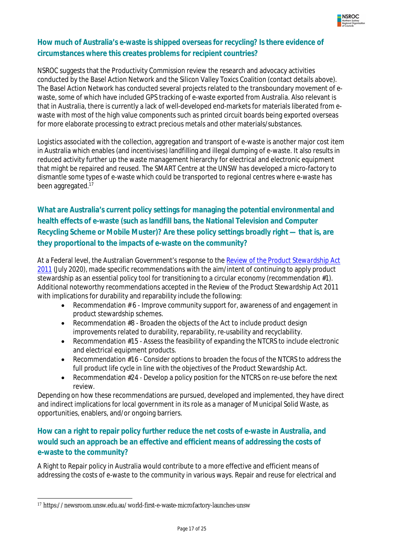

#### **How much of Australia's e-waste is shipped overseas for recycling? Is there evidence of circumstances where this creates problems for recipient countries?**

NSROC suggests that the Productivity Commission review the research and advocacy activities conducted by the Basel Action Network and the Silicon Valley Toxics Coalition (contact details above). The Basel Action Network has conducted several projects related to the transboundary movement of ewaste, some of which have included GPS tracking of e-waste exported from Australia. Also relevant is that in Australia, there is currently a lack of well-developed end-markets for materials liberated from ewaste with most of the high value components such as printed circuit boards being exported overseas for more elaborate processing to extract precious metals and other materials/substances.

Logistics associated with the collection, aggregation and transport of e-waste is another major cost item in Australia which enables (and incentivises) landfilling and illegal dumping of e-waste. It also results in reduced activity further up the waste management hierarchy for electrical and electronic equipment that might be repaired and reused. The SMART Centre at the UNSW has developed a micro-factory to dismantle some types of e-waste which could be transported to regional centres where e-waste has been aggregated.<sup>17</sup>

# **What are Australia's current policy settings for managing the potential environmental and health effects of e-waste (such as landfill bans, the National Television and Computer Recycling Scheme or Mobile Muster)? Are these policy settings broadly right — that is, are they proportional to the impacts of e-waste on the community?**

At a Federal level, the Australian Government's response to the *Review of the Product Stewardship Act 2011* (July 2020), made specific recommendations with the aim/intent of continuing to apply product stewardship as an essential policy tool for transitioning to a circular economy (recommendation #1). Additional noteworthy recommendations accepted in the *Review of the Product Stewardship Act 2011*  with implications for durability and reparability include the following:

- **•** Recommendation  $# 6$  Improve community support for, awareness of and engagement in product stewardship schemes.
- Recommendation #8 Broaden the objects of the Act to include product design improvements related to durability, reparability, re-usability and recyclability.
- Recommendation #15 Assess the feasibility of expanding the NTCRS to include electronic and electrical equipment products.
- Recommendation #16 Consider options to broaden the focus of the NTCRS to address the full product life cycle in line with the objectives of the Product Stewardship Act.
- Recommendation #24 Develop a policy position for the NTCRS on re-use before the next review.

Depending on how these recommendations are pursued, developed and implemented, they have direct and indirect implications for local government in its role as a manager of Municipal Solid Waste, as opportunities, enablers, and/or ongoing barriers.

# **How can a right to repair policy further reduce the net costs of e-waste in Australia, and would such an approach be an effective and efficient means of addressing the costs of e-waste to the community?**

A Right to Repair policy in Australia would contribute to a more effective and efficient means of addressing the costs of e-waste to the community in various ways. Repair and reuse for electrical and

 $\overline{\phantom{a}}$ <sup>17</sup> https://newsroom.unsw.edu.au/world-first-e-waste-microfactory-launches-unsw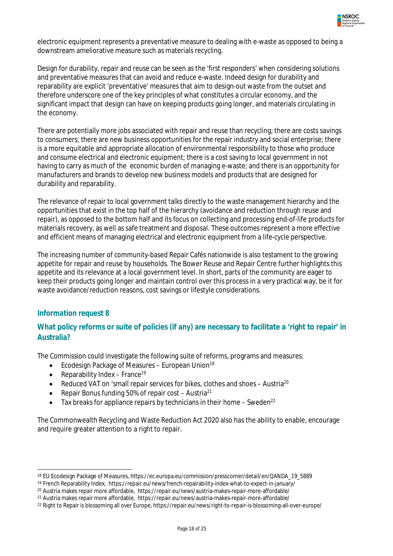

electronic equipment represents a preventative measure to dealing with e-waste as opposed to being a downstream ameliorative measure such as materials recycling.

Design for durability, repair and reuse can be seen as the 'first responders' when considering solutions and preventative measures that can avoid and reduce e-waste. Indeed design for durability and reparability are explicit 'preventative' measures that aim to design-out waste from the outset and therefore underscore one of the key principles of what constitutes a circular economy, and the significant impact that design can have on keeping products going longer, and materials circulating in the economy.

There are potentially more jobs associated with repair and reuse than recycling; there are costs savings to consumers; there are new business opportunities for the repair industry and social enterprise; there is a more equitable and appropriate allocation of environmental responsibility to those who produce and consume electrical and electronic equipment; there is a cost saving to local government in not having to carry as much of the economic burden of managing e-waste; and there is an opportunity for manufacturers and brands to develop new business models and products that are designed for durability and reparability.

The relevance of repair to local government talks directly to the waste management hierarchy and the opportunities that exist in the top half of the hierarchy (avoidance and reduction through reuse and repair), as opposed to the bottom half and its focus on collecting and processing end-of-life products for materials recovery, as well as safe treatment and disposal. These outcomes represent a more effective and efficient means of managing electrical and electronic equipment from a life-cycle perspective.

The increasing number of community-based Repair Cafés nationwide is also testament to the growing appetite for repair and reuse by households. The Bower Reuse and Repair Centre further highlights this appetite and its relevance at a local government level. In short, parts of the community are eager to keep their products going longer and maintain control over this process in a very practical way, be it for waste avoidance/reduction reasons, cost savings or lifestyle considerations.

#### *Information request 8*

#### **What policy reforms or suite of policies (if any) are necessary to facilitate a 'right to repair' in Australia?**

The Commission could investigate the following suite of reforms, programs and measures:

- **•** Ecodesign Package of Measures European Union<sup>18</sup>
- Reparability Index France<sup>19</sup>
- Reduced VAT on 'small repair services for bikes, clothes and shoes Austria<sup>20</sup>
- Repair Bonus funding 50% of repair cost Austria<sup>21</sup>
- $\bullet$  Tax breaks for appliance repairs by technicians in their home Sweden<sup>22</sup>

The Commonwealth Recycling and Waste Reduction Act 2020 also has the ability to enable, encourage and require greater attention to a right to repair.

 $\overline{a}$ <sup>18</sup> EU Ecodesign Package of Measures, https://ec.europa.eu/commission/presscorner/detail/en/QANDA\_19\_5889

<sup>19</sup> French Reparability Index, https://repair.eu/news/french-repairability-index-what-to-expect-in-january/

<sup>20</sup> Austria makes repair more affordable, https://repair.eu/news/austria-makes-repair-more-affordable/

<sup>21</sup> Austria makes repair more affordable, https://repair.eu/news/austria-makes-repair-more-affordable/

<sup>&</sup>lt;sup>22</sup> Right to Repair is blossoming all over Europe, https://repair.eu/news/right-to-repair-is-blossoming-all-over-europe/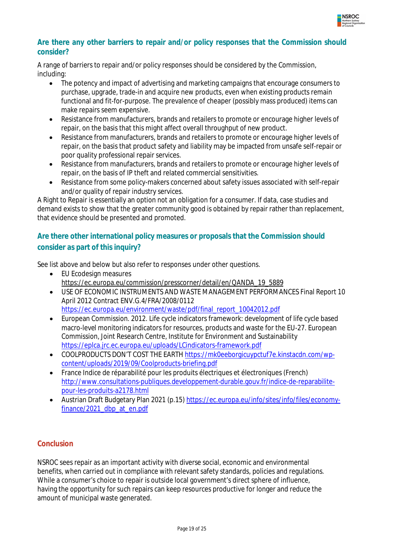![](_page_20_Picture_0.jpeg)

#### **Are there any other barriers to repair and/or policy responses that the Commission should consider?**

A range of barriers to repair and/or policy responses should be considered by the Commission, including:

- The potency and impact of advertising and marketing campaigns that encourage consumers to purchase, upgrade, trade-in and acquire new products, even when existing products remain functional and fit-for-purpose. The prevalence of cheaper (possibly mass produced) items can make repairs seem expensive.
- Resistance from manufacturers, brands and retailers to promote or encourage higher levels of repair, on the basis that this might affect overall throughput of new product.
- Resistance from manufacturers, brands and retailers to promote or encourage higher levels of repair, on the basis that product safety and liability may be impacted from unsafe self-repair or poor quality professional repair services.
- Resistance from manufacturers, brands and retailers to promote or encourage higher levels of repair, on the basis of IP theft and related commercial sensitivities.
- Resistance from some policy-makers concerned about safety issues associated with self-repair and/or quality of repair industry services.

A Right to Repair is essentially an option not an obligation for a consumer. If data, case studies and demand exists to show that the greater community good is obtained by repair rather than replacement, that evidence should be presented and promoted.

# **Are there other international policy measures or proposals that the Commission should consider as part of this inquiry?**

See list above and below but also refer to responses under other questions.

- EU Ecodesign measures https://ec.europa.eu/commission/presscorner/detail/en/QANDA\_19\_5889
- USE OF ECONOMIC INSTRUMENTS AND WASTE MANAGEMENT PERFORMANCES Final Report 10 April 2012 Contract ENV.G.4/FRA/2008/0112 https://ec.europa.eu/environment/waste/pdf/final\_report\_10042012.pdf
- European Commission. 2012. Life cycle indicators framework: development of life cycle based macro-level monitoring indicators for resources, products and waste for the EU-27. European Commission, Joint Research Centre, Institute for Environment and Sustainability https://eplca.jrc.ec.europa.eu/uploads/LCindicators-framework.pdf
- COOLPRODUCTS DON'T COST THE EARTH https://mk0eeborgicuypctuf7e.kinstacdn.com/wpcontent/uploads/2019/09/Coolproducts-briefing.pdf
- France Indice de réparabilité pour les produits électriques et électroniques (French) http://www.consultations-publiques.developpement-durable.gouv.fr/indice-de-reparabilitepour-les-produits-a2178.html
- Austrian Draft Budgetary Plan 2021 (p.15) https://ec.europa.eu/info/sites/info/files/economyfinance/2021\_dbp\_at\_en.pdf

#### **Conclusion**

NSROC sees repair as an important activity with diverse social, economic and environmental benefits, when carried out in compliance with relevant safety standards, policies and regulations. While a consumer's choice to repair is outside local government's direct sphere of influence, having the opportunity for such repairs can keep resources productive for longer and reduce the amount of municipal waste generated.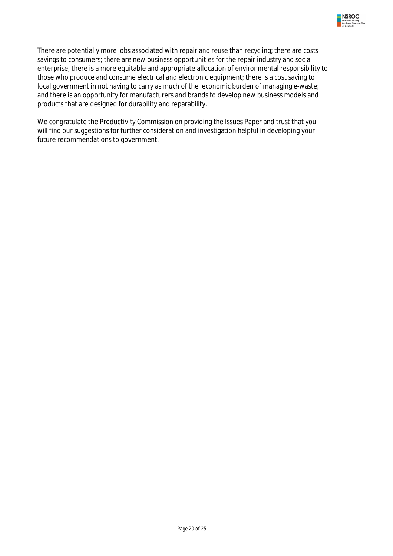![](_page_21_Picture_0.jpeg)

There are potentially more jobs associated with repair and reuse than recycling; there are costs savings to consumers; there are new business opportunities for the repair industry and social enterprise; there is a more equitable and appropriate allocation of environmental responsibility to those who produce and consume electrical and electronic equipment; there is a cost saving to local government in not having to carry as much of the economic burden of managing e-waste; and there is an opportunity for manufacturers and brands to develop new business models and products that are designed for durability and reparability.

We congratulate the Productivity Commission on providing the Issues Paper and trust that you will find our suggestions for further consideration and investigation helpful in developing your future recommendations to government.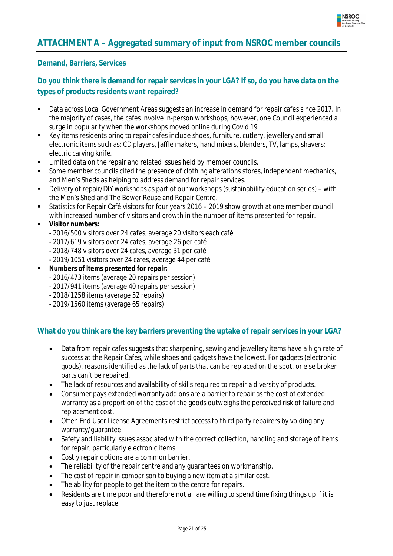![](_page_22_Picture_0.jpeg)

# **ATTACHMENT A – Aggregated summary of input from NSROC member councils**

#### **Demand, Barriers, Services**

#### **Do you think there is demand for repair services in your LGA? If so, do you have data on the types of products residents want repaired?**

- Data across Local Government Areas suggests an increase in demand for repair cafes since 2017. In the majority of cases, the cafes involve in-person workshops, however, one Council experienced a surge in popularity when the workshops moved online during Covid 19
- Key items residents bring to repair cafes include shoes, furniture, cutlery, jewellery and small electronic items such as: CD players, Jaffle makers, hand mixers, blenders, TV, lamps, shavers; electric carving knife.
- **EXECTE 1** Limited data on the repair and related issues held by member councils.
- Some member councils cited the presence of clothing alterations stores, independent mechanics, and Men's Sheds as helping to address demand for repair services.
- Delivery of repair/DIY workshops as part of our workshops (sustainability education series) with the Men's Shed and The Bower Reuse and Repair Centre.
- Statistics for Repair Café visitors for four years 2016 2019 show growth at one member council with increased number of visitors and growth in the number of items presented for repair.
- **Visitor numbers:**
	- 2016/500 visitors over 24 cafes, average 20 visitors each café
	- 2017/619 visitors over 24 cafes, average 26 per café
	- 2018/748 visitors *over 24* cafes, average 31 per café
	- 2019/1051 visitors over 24 cafes, average 44 per café
- **Numbers of items presented for repair:**
	- 2016/473 items (average 20 repairs per session)
	- 2017/941 items (average 40 repairs per session)
	- 2018/1258 items (average 52 repairs)
	- 2019/1560 items (average 65 repairs)

#### **What do you think are the key barriers preventing the uptake of repair services in your LGA?**

- Data from repair cafes suggests that sharpening, sewing and jewellery items have a high rate of success at the Repair Cafes, while shoes and gadgets have the lowest. For gadgets (electronic goods), reasons identified as the lack of parts that can be replaced on the spot, or else broken parts can't be repaired.
- The lack of resources and availability of skills required to repair a diversity of products.
- Consumer pays extended warranty add ons are a barrier to repair as the cost of extended warranty as a proportion of the cost of the goods outweighs the perceived risk of failure and replacement cost.
- Often End User License Agreements restrict access to third party repairers by voiding any warranty/guarantee.
- Safety and liability issues associated with the correct collection, handling and storage of items for repair, particularly electronic items
- Costly repair options are a common barrier.
- The reliability of the repair centre and any quarantees on workmanship.
- The cost of repair in comparison to buying a new item at a similar cost.
- The ability for people to get the item to the centre for repairs.
- Residents are time poor and therefore not all are willing to spend time fixing things up if it is easy to just replace.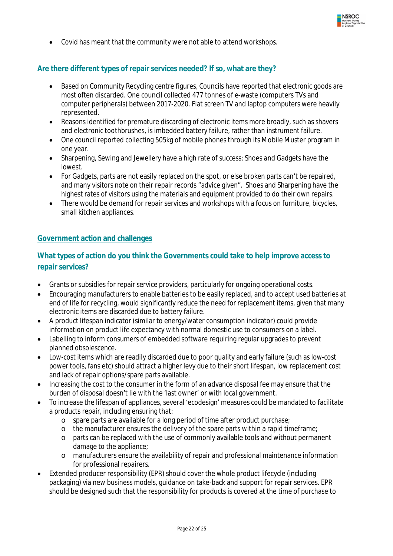![](_page_23_Picture_0.jpeg)

Covid has meant that the community were not able to attend workshops.

#### **Are there different types of repair services needed? If so, what are they?**

- Based on Community Recycling centre figures, Councils have reported that electronic goods are most often discarded. One council collected 477 tonnes of e-waste (computers TVs and computer peripherals) between 2017-2020. Flat screen TV and laptop computers were heavily represented.
- Reasons identified for premature discarding of electronic items more broadly, such as shavers and electronic toothbrushes, is imbedded battery failure, rather than instrument failure.
- One council reported collecting 505kg of mobile phones through its Mobile Muster program in one year.
- Sharpening, Sewing and Jewellery have a high rate of success; Shoes and Gadgets have the lowest.
- For Gadgets, parts are not easily replaced on the spot, or else broken parts can't be repaired, and many visitors note on their repair records "advice given". Shoes and Sharpening have the highest rates of visitors using the materials and equipment provided to do their own repairs.
- There would be demand for repair services and workshops with a focus on furniture, bicycles, small kitchen appliances.

#### **Government action and challenges**

#### **What types of action do you think the Governments could take to help improve access to repair services?**

- Grants or subsidies for repair service providers, particularly for ongoing operational costs.
- Encouraging manufacturers to enable batteries to be easily replaced, and to accept used batteries at end of life for recycling, would significantly reduce the need for replacement items, given that many electronic items are discarded due to battery failure.
- A product lifespan indicator (similar to energy/water consumption indicator) could provide information on product life expectancy with normal domestic use to consumers on a label.
- Labelling to inform consumers of embedded software requiring regular upgrades to prevent planned obsolescence.
- Low-cost items which are readily discarded due to poor quality and early failure (such as low-cost power tools, fans etc) should attract a higher levy due to their short lifespan, low replacement cost and lack of repair options/spare parts available.
- Increasing the cost to the consumer in the form of an advance disposal fee may ensure that the burden of disposal doesn't lie with the 'last owner' or with local government.
- To increase the lifespan of appliances, several 'ecodesign' measures could be mandated to facilitate a products repair, including ensuring that:
	- o spare parts are available for a long period of time after product purchase;
	- o the manufacturer ensures the delivery of the spare parts within a rapid timeframe;
	- o parts can be replaced with the use of commonly available tools and without permanent damage to the appliance;
	- o manufacturers ensure the availability of repair and professional maintenance information for professional repairers.
- Extended producer responsibility (EPR) should cover the whole product lifecycle (including packaging) via new business models, guidance on take-back and support for repair services. EPR should be designed such that the responsibility for products is covered at the time of purchase to